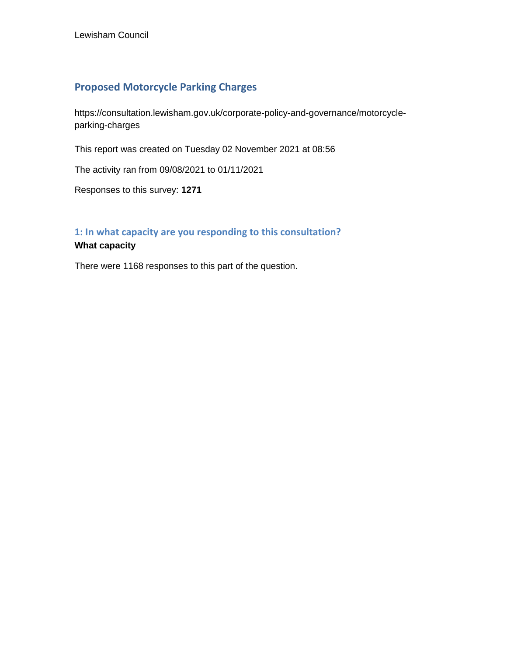## **Proposed Motorcycle Parking Charges**

https://consultation.lewisham.gov.uk/corporate-policy-and-governance/motorcycleparking-charges

This report was created on Tuesday 02 November 2021 at 08:56

The activity ran from 09/08/2021 to 01/11/2021

Responses to this survey: **1271**

# **1: In what capacity are you responding to this consultation?**

# **What capacity**

There were 1168 responses to this part of the question.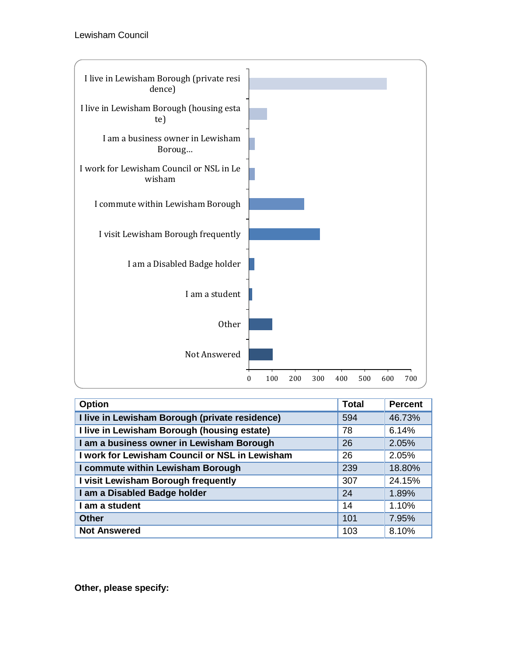

| <b>Option</b>                                  | <b>Total</b> | <b>Percent</b> |
|------------------------------------------------|--------------|----------------|
| I live in Lewisham Borough (private residence) | 594          | 46.73%         |
| I live in Lewisham Borough (housing estate)    | 78           | 6.14%          |
| I am a business owner in Lewisham Borough      | 26           | 2.05%          |
| I work for Lewisham Council or NSL in Lewisham | 26           | 2.05%          |
| I commute within Lewisham Borough              | 239          | 18.80%         |
| I visit Lewisham Borough frequently            | 307          | 24.15%         |
| I am a Disabled Badge holder                   | 24           | 1.89%          |
| I am a student                                 | 14           | 1.10%          |
| <b>Other</b>                                   | 101          | 7.95%          |
| <b>Not Answered</b>                            | 103          | 8.10%          |

**Other, please specify:**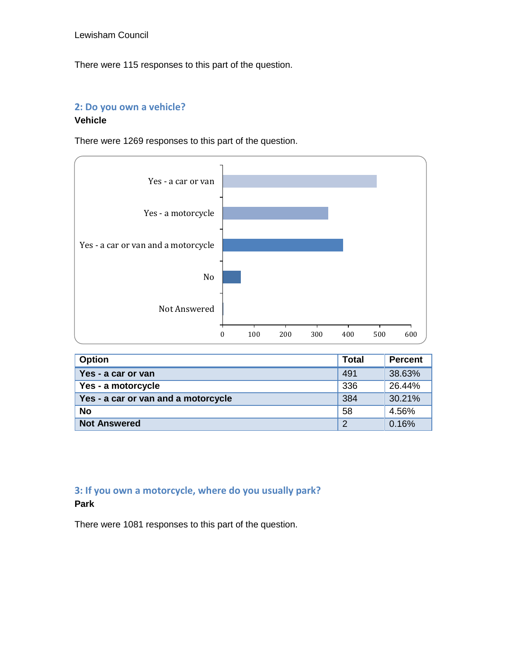There were 115 responses to this part of the question.

## **2: Do you own a vehicle?**

#### **Vehicle**

There were 1269 responses to this part of the question.



| <b>Option</b>                       | <b>Total</b>   | <b>Percent</b> |
|-------------------------------------|----------------|----------------|
| Yes - a car or van                  | 491            | 38.63%         |
| Yes - a motorcycle                  | 336            | 26.44%         |
| Yes - a car or van and a motorcycle | 384            | 30.21%         |
| <b>No</b>                           | 58             | 4.56%          |
| <b>Not Answered</b>                 | $\overline{2}$ | 0.16%          |

## **3: If you own a motorcycle, where do you usually park? Park**

There were 1081 responses to this part of the question.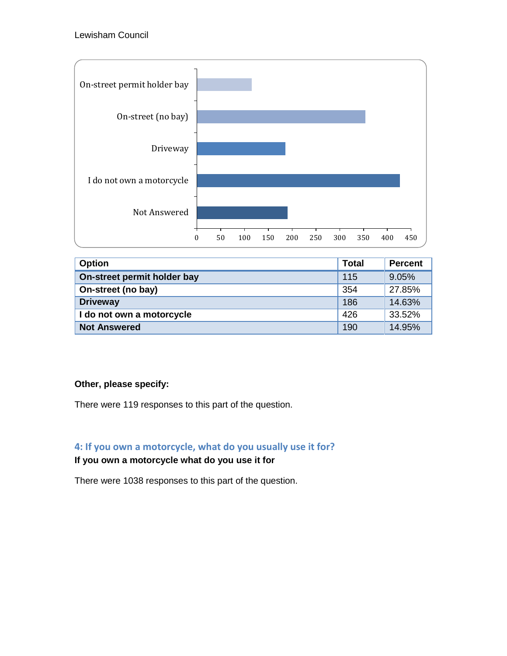

| <b>Option</b>               | <b>Total</b> | <b>Percent</b> |
|-----------------------------|--------------|----------------|
| On-street permit holder bay | 115          | 9.05%          |
| On-street (no bay)          | 354          | 27.85%         |
| <b>Driveway</b>             | 186          | 14.63%         |
| I do not own a motorcycle   | 426          | 33.52%         |
| <b>Not Answered</b>         | 190          | 14.95%         |

## **Other, please specify:**

There were 119 responses to this part of the question.

## **4: If you own a motorcycle, what do you usually use it for?**

## **If you own a motorcycle what do you use it for**

There were 1038 responses to this part of the question.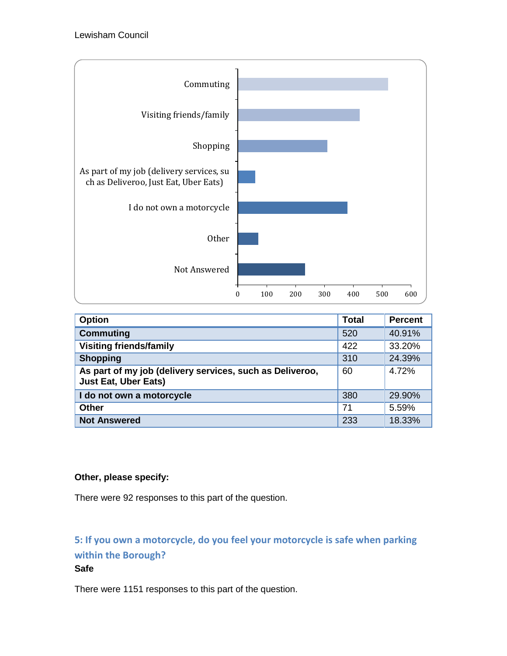

| <b>Option</b>                                                                           | <b>Total</b> | <b>Percent</b> |
|-----------------------------------------------------------------------------------------|--------------|----------------|
| <b>Commuting</b>                                                                        | 520          | 40.91%         |
| <b>Visiting friends/family</b>                                                          | 422          | 33.20%         |
| <b>Shopping</b>                                                                         | 310          | 24.39%         |
| As part of my job (delivery services, such as Deliveroo,<br><b>Just Eat, Uber Eats)</b> | 60           | 4.72%          |
| I do not own a motorcycle                                                               | 380          | 29.90%         |
| <b>Other</b>                                                                            | 71           | 5.59%          |
| <b>Not Answered</b>                                                                     | 233          | 18.33%         |

## **Other, please specify:**

There were 92 responses to this part of the question.

# **5: If you own a motorcycle, do you feel your motorcycle is safe when parking within the Borough?**

#### **Safe**

There were 1151 responses to this part of the question.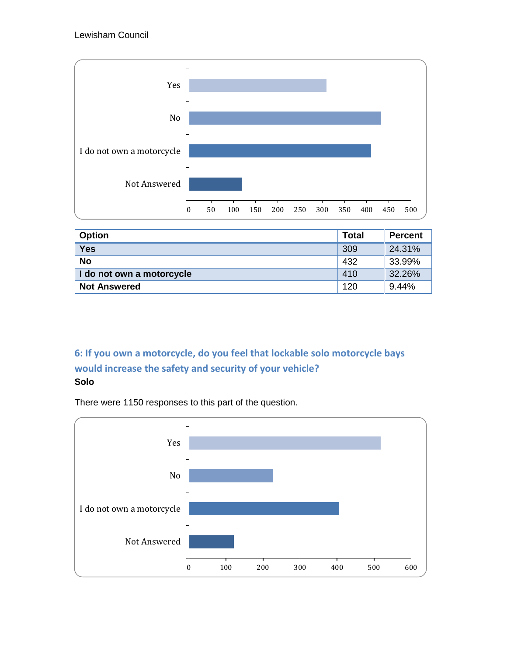

| <b>Option</b>             | <b>Total</b> | <b>Percent</b> |
|---------------------------|--------------|----------------|
| <b>Yes</b>                | 309          | 24.31%         |
| <b>No</b>                 | 432          | 33.99%         |
| I do not own a motorcycle | 410          | 32.26%         |
| <b>Not Answered</b>       | 120          | 9.44%          |

# **6: If you own a motorcycle, do you feel that lockable solo motorcycle bays would increase the safety and security of your vehicle? Solo**

There were 1150 responses to this part of the question.

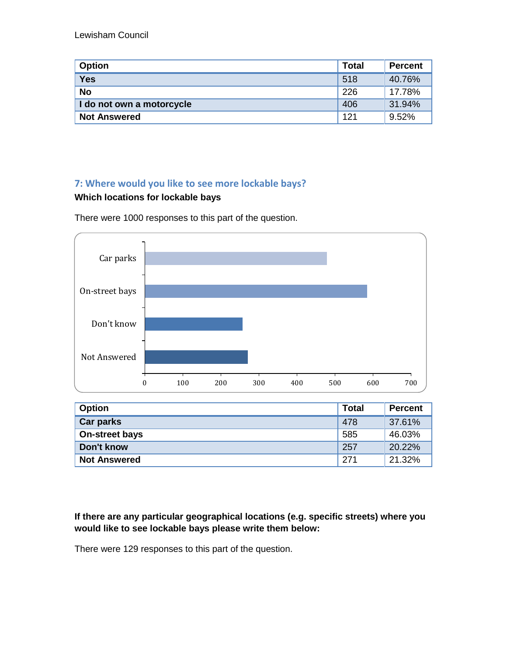| <b>Option</b>             | <b>Total</b> | <b>Percent</b> |
|---------------------------|--------------|----------------|
| <b>Yes</b>                | 518          | 40.76%         |
| <b>No</b>                 | 226          | 17.78%         |
| I do not own a motorcycle | 406          | 31.94%         |
| <b>Not Answered</b>       | 121          | 9.52%          |

# **7: Where would you like to see more lockable bays?**

## **Which locations for lockable bays**

There were 1000 responses to this part of the question.



| <b>Option</b>         | <b>Total</b> | <b>Percent</b> |
|-----------------------|--------------|----------------|
| <b>Car parks</b>      | 478          | 37.61%         |
| <b>On-street bays</b> | 585          | 46.03%         |
| Don't know            | 257          | 20.22%         |
| <b>Not Answered</b>   | 271          | 21.32%         |

#### **If there are any particular geographical locations (e.g. specific streets) where you would like to see lockable bays please write them below:**

There were 129 responses to this part of the question.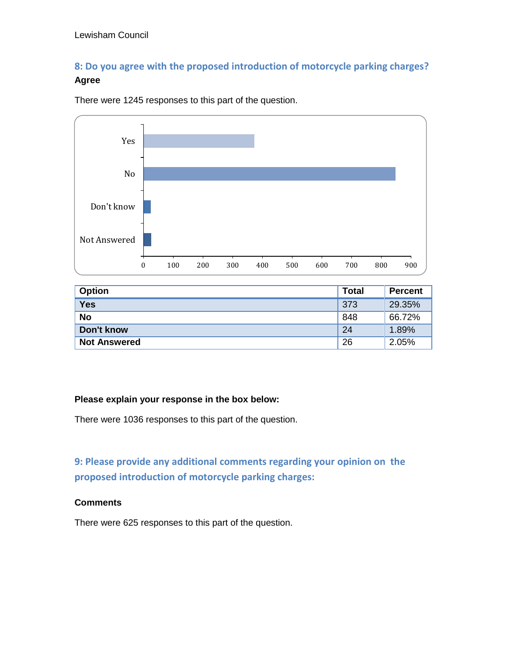# **8: Do you agree with the proposed introduction of motorcycle parking charges? Agree**



There were 1245 responses to this part of the question.

| <b>Option</b>       | <b>Total</b> | <b>Percent</b> |
|---------------------|--------------|----------------|
| <b>Yes</b>          | 373          | 29.35%         |
| <b>No</b>           | 848          | 66.72%         |
| Don't know          | 24           | 1.89%          |
| <b>Not Answered</b> | 26           | 2.05%          |

#### **Please explain your response in the box below:**

There were 1036 responses to this part of the question.

**9: Please provide any additional comments regarding your opinion on the proposed introduction of motorcycle parking charges:**

#### **Comments**

There were 625 responses to this part of the question.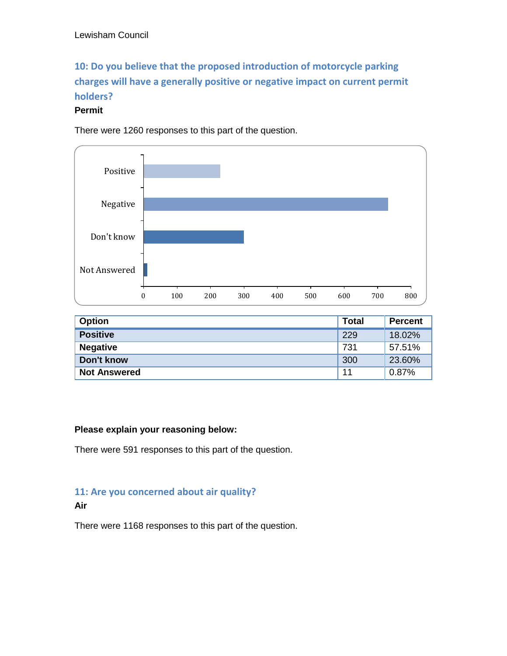# **10: Do you believe that the proposed introduction of motorcycle parking charges will have a generally positive or negative impact on current permit holders?**

#### **Permit**

There were 1260 responses to this part of the question.



| <b>Option</b>       | <b>Total</b> | <b>Percent</b> |
|---------------------|--------------|----------------|
| <b>Positive</b>     | 229          | 18.02%         |
| <b>Negative</b>     | 731          | 57.51%         |
| Don't know          | 300          | 23.60%         |
| <b>Not Answered</b> | 11           | 0.87%          |

#### **Please explain your reasoning below:**

There were 591 responses to this part of the question.

# **11: Are you concerned about air quality?**

#### **Air**

There were 1168 responses to this part of the question.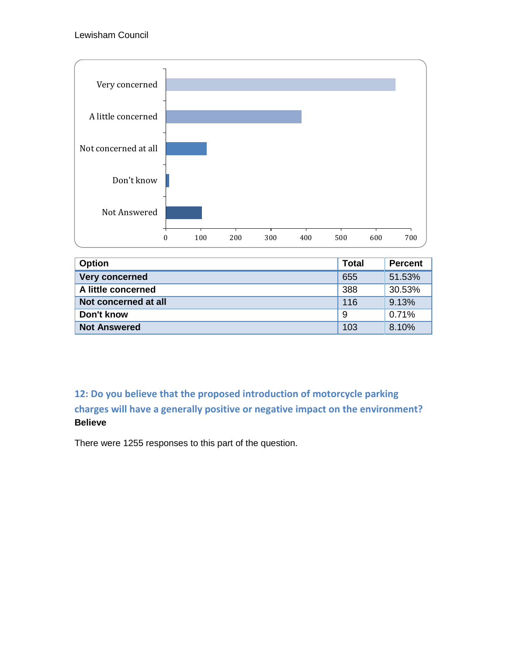

| <b>Option</b>         | <b>Total</b> | <b>Percent</b> |
|-----------------------|--------------|----------------|
| <b>Very concerned</b> | 655          | 51.53%         |
| A little concerned    | 388          | 30.53%         |
| Not concerned at all  | 116          | 9.13%          |
| Don't know            | 9            | 0.71%          |
| <b>Not Answered</b>   | 103          | 8.10%          |

# **12: Do you believe that the proposed introduction of motorcycle parking charges will have a generally positive or negative impact on the environment? Believe**

There were 1255 responses to this part of the question.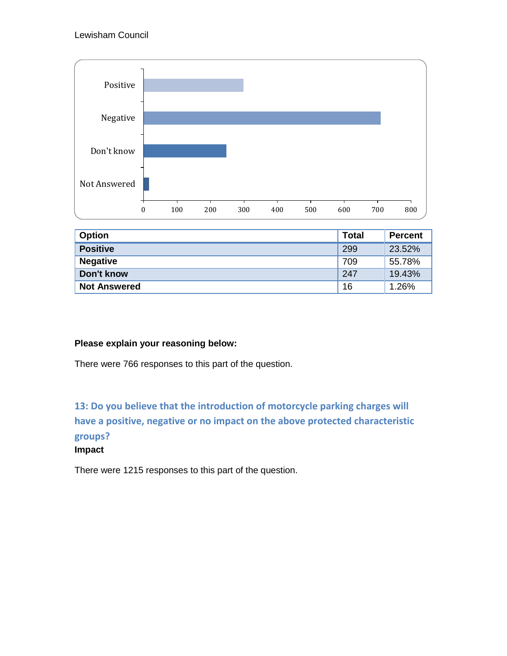

| <b>Option</b>       | <b>Total</b> | <b>Percent</b> |
|---------------------|--------------|----------------|
| <b>Positive</b>     | 299          | 23.52%         |
| <b>Negative</b>     | 709          | 55.78%         |
| Don't know          | 247          | 19.43%         |
| <b>Not Answered</b> | 16           | 1.26%          |

## **Please explain your reasoning below:**

There were 766 responses to this part of the question.

**13: Do you believe that the introduction of motorcycle parking charges will have a positive, negative or no impact on the above protected characteristic groups?** 

#### **Impact**

There were 1215 responses to this part of the question.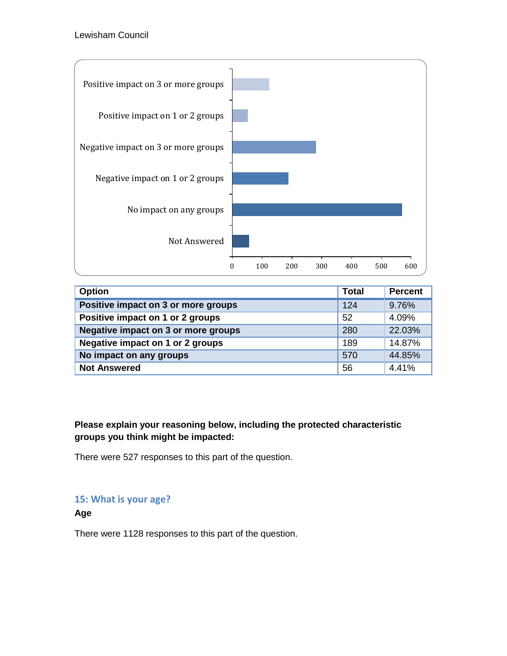

| <b>Option</b>                           | <b>Total</b> | <b>Percent</b> |
|-----------------------------------------|--------------|----------------|
| Positive impact on 3 or more groups     | 124          | 9.76%          |
| Positive impact on 1 or 2 groups        | 52           | 4.09%          |
| Negative impact on 3 or more groups     | 280          | 22.03%         |
| <b>Negative impact on 1 or 2 groups</b> | 189          | 14.87%         |
| No impact on any groups                 | 570          | 44.85%         |
| <b>Not Answered</b>                     | 56           | 4.41%          |

**Please explain your reasoning below, including the protected characteristic groups you think might be impacted:**

There were 527 responses to this part of the question.

## **15: What is your age?**

**Age**

There were 1128 responses to this part of the question.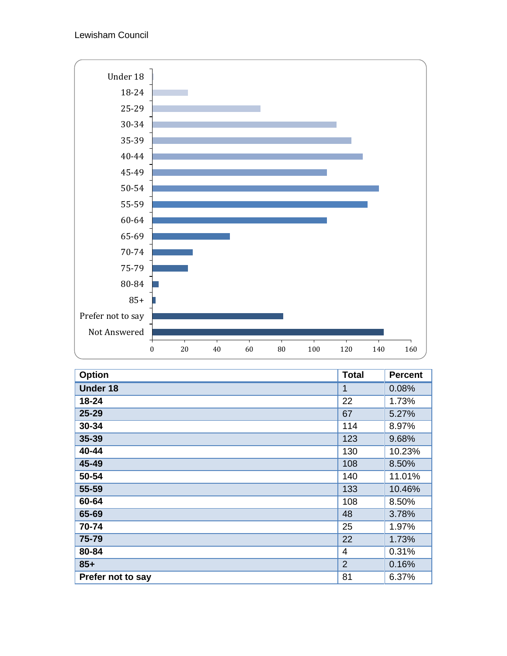

| <b>Option</b>     | <b>Total</b> | <b>Percent</b> |
|-------------------|--------------|----------------|
| <b>Under 18</b>   | 1            | 0.08%          |
| 18-24             | 22           | 1.73%          |
| 25-29             | 67           | 5.27%          |
| 30-34             | 114          | 8.97%          |
| 35-39             | 123          | 9.68%          |
| 40-44             | 130          | 10.23%         |
| 45-49             | 108          | 8.50%          |
| 50-54             | 140          | 11.01%         |
| 55-59             | 133          | 10.46%         |
| 60-64             | 108          | 8.50%          |
| 65-69             | 48           | 3.78%          |
| 70-74             | 25           | 1.97%          |
| 75-79             | 22           | 1.73%          |
| 80-84             | 4            | 0.31%          |
| $85+$             | 2            | 0.16%          |
| Prefer not to say | 81           | 6.37%          |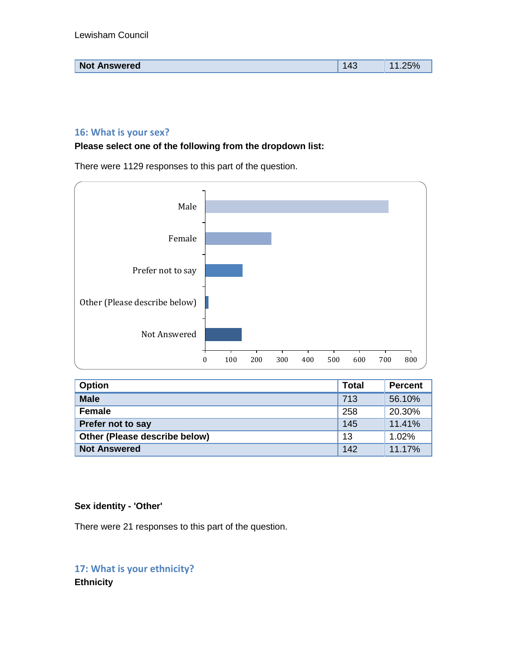| <b>NT</b><br><b>Not Answered</b> | . . | -<br>7 U |
|----------------------------------|-----|----------|
|                                  |     |          |

#### **16: What is your sex?**

**Please select one of the following from the dropdown list:**

There were 1129 responses to this part of the question.



| <b>Option</b>                 | <b>Total</b> | <b>Percent</b> |
|-------------------------------|--------------|----------------|
| <b>Male</b>                   | 713          | 56.10%         |
| <b>Female</b>                 | 258          | 20.30%         |
| Prefer not to say             | 145          | 11.41%         |
| Other (Please describe below) | 13           | 1.02%          |
| <b>Not Answered</b>           | 142          | 11.17%         |

#### **Sex identity - 'Other'**

There were 21 responses to this part of the question.

**17: What is your ethnicity? Ethnicity**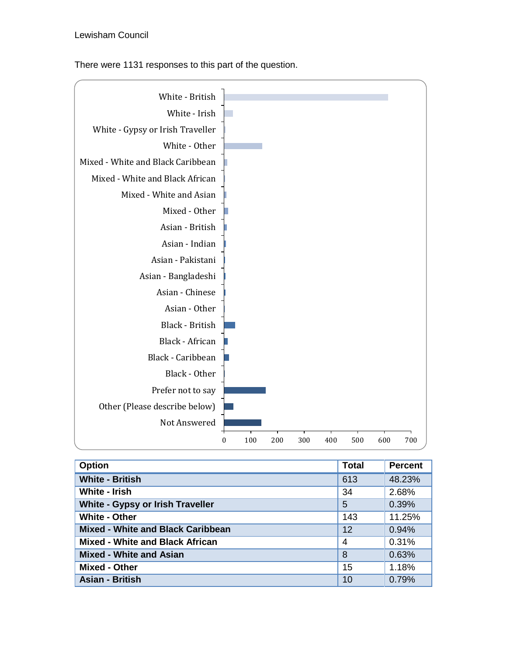There were 1131 responses to this part of the question.



| <b>Option</b>                           | <b>Total</b> | <b>Percent</b> |
|-----------------------------------------|--------------|----------------|
| <b>White - British</b>                  | 613          | 48.23%         |
| White - Irish                           | 34           | 2.68%          |
| <b>White - Gypsy or Irish Traveller</b> | 5            | 0.39%          |
| <b>White - Other</b>                    | 143          | 11.25%         |
| Mixed - White and Black Caribbean       | 12           | 0.94%          |
| <b>Mixed - White and Black African</b>  | 4            | 0.31%          |
| <b>Mixed - White and Asian</b>          | 8            | 0.63%          |
| <b>Mixed - Other</b>                    | 15           | 1.18%          |
| <b>Asian - British</b>                  | 10           | 0.79%          |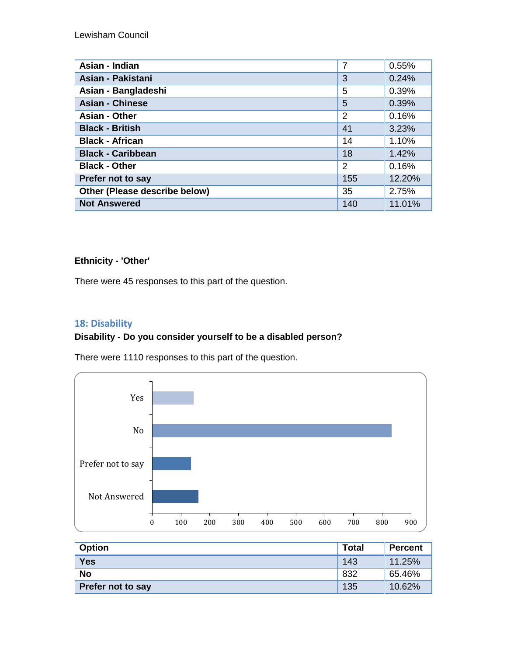| Asian - Indian                | $\overline{7}$ | 0.55%  |
|-------------------------------|----------------|--------|
| Asian - Pakistani             | 3              | 0.24%  |
| Asian - Bangladeshi           | 5              | 0.39%  |
| <b>Asian - Chinese</b>        | 5              | 0.39%  |
| <b>Asian - Other</b>          | 2              | 0.16%  |
| <b>Black - British</b>        | 41             | 3.23%  |
| <b>Black - African</b>        | 14             | 1.10%  |
| <b>Black - Caribbean</b>      | 18             | 1.42%  |
| <b>Black - Other</b>          | 2              | 0.16%  |
| Prefer not to say             | 155            | 12.20% |
| Other (Please describe below) | 35             | 2.75%  |
| <b>Not Answered</b>           | 140            | 11.01% |

## **Ethnicity - 'Other'**

There were 45 responses to this part of the question.

## **18: Disability**

## **Disability - Do you consider yourself to be a disabled person?**

There were 1110 responses to this part of the question.



| <b>Option</b>     | <b>Total</b> | <b>Percent</b> |
|-------------------|--------------|----------------|
| <b>Yes</b>        | 143          | 11.25%         |
| <b>No</b>         | 832          | 65.46%         |
| Prefer not to say | 135          | 10.62%         |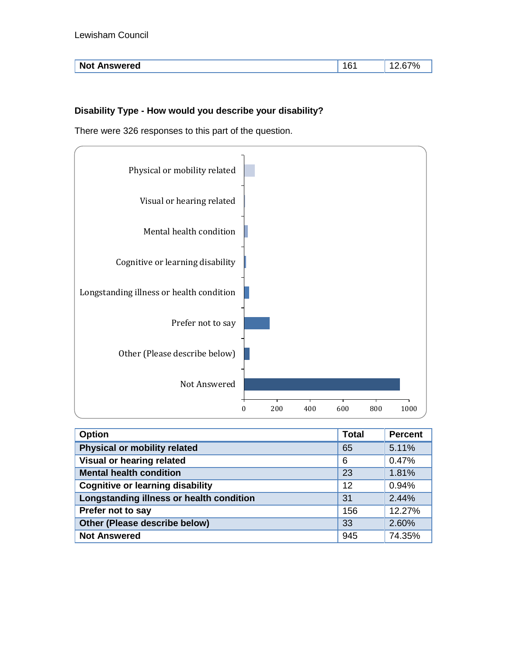| <b>Not Answered</b> | . .<br>. | 7 L |
|---------------------|----------|-----|
|                     |          |     |

## **Disability Type - How would you describe your disability?**

There were 326 responses to this part of the question.



| <b>Option</b>                            | <b>Total</b> | <b>Percent</b> |
|------------------------------------------|--------------|----------------|
| <b>Physical or mobility related</b>      | 65           | 5.11%          |
| Visual or hearing related                | 6            | 0.47%          |
| <b>Mental health condition</b>           | 23           | 1.81%          |
| <b>Cognitive or learning disability</b>  | 12           | 0.94%          |
| Longstanding illness or health condition | 31           | 2.44%          |
| Prefer not to say                        | 156          | 12.27%         |
| Other (Please describe below)            | 33           | 2.60%          |
| <b>Not Answered</b>                      | 945          | 74.35%         |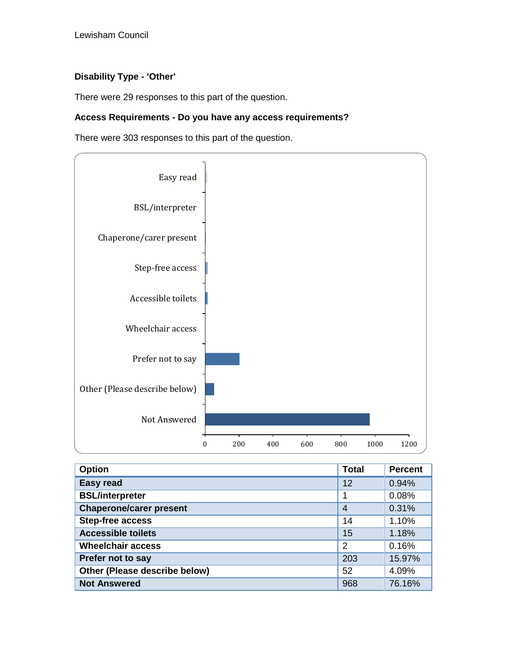## **Disability Type - 'Other'**

There were 29 responses to this part of the question.

#### **Access Requirements - Do you have any access requirements?**

There were 303 responses to this part of the question.

![](_page_17_Figure_5.jpeg)

| <b>Option</b>                  | <b>Total</b>   | <b>Percent</b> |
|--------------------------------|----------------|----------------|
| <b>Easy read</b>               | 12             | 0.94%          |
| <b>BSL/interpreter</b>         | 1              | 0.08%          |
| <b>Chaperone/carer present</b> | $\overline{4}$ | 0.31%          |
| <b>Step-free access</b>        | 14             | 1.10%          |
| <b>Accessible toilets</b>      | 15             | 1.18%          |
| <b>Wheelchair access</b>       | 2              | 0.16%          |
| Prefer not to say              | 203            | 15.97%         |
| Other (Please describe below)  | 52             | 4.09%          |
| <b>Not Answered</b>            | 968            | 76.16%         |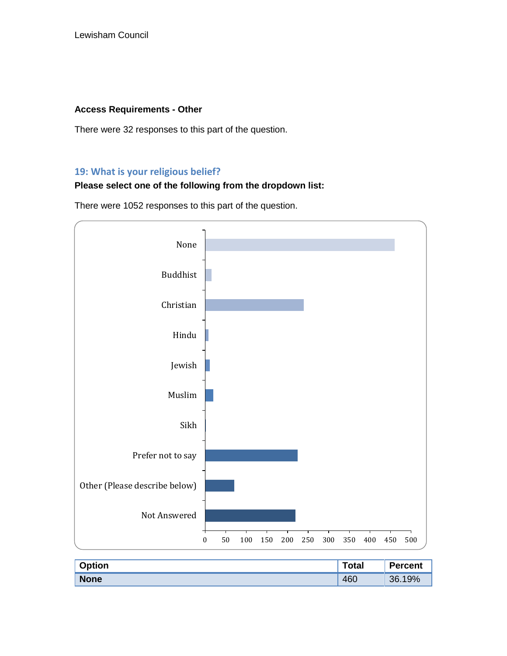#### **Access Requirements - Other**

There were 32 responses to this part of the question.

## **19: What is your religious belief?**

## **Please select one of the following from the dropdown list:**

There were 1052 responses to this part of the question.

![](_page_18_Figure_6.jpeg)

| <b>Option</b> | <b>Total</b> | <b>Percent</b> |
|---------------|--------------|----------------|
| <b>None</b>   | 460          | 19%<br>36.     |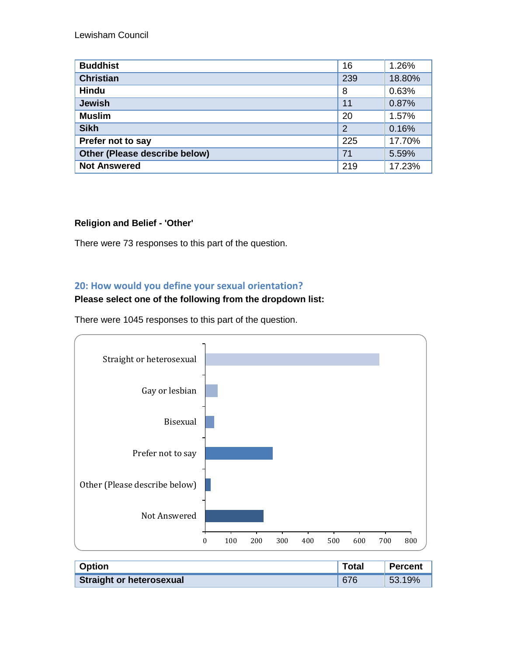| <b>Buddhist</b>               | 16             | 1.26%  |
|-------------------------------|----------------|--------|
| <b>Christian</b>              | 239            | 18.80% |
| <b>Hindu</b>                  | 8              | 0.63%  |
| <b>Jewish</b>                 | 11             | 0.87%  |
| <b>Muslim</b>                 | 20             | 1.57%  |
| <b>Sikh</b>                   | $\overline{2}$ | 0.16%  |
| Prefer not to say             | 225            | 17.70% |
| Other (Please describe below) | 71             | 5.59%  |
| <b>Not Answered</b>           | 219            | 17.23% |

## **Religion and Belief - 'Other'**

There were 73 responses to this part of the question.

## **20: How would you define your sexual orientation?**

#### **Please select one of the following from the dropdown list:**

There were 1045 responses to this part of the question.

![](_page_19_Figure_7.jpeg)

| <b>Option</b>                   | Total | <b>Percent</b> |
|---------------------------------|-------|----------------|
| <b>Straight or heterosexual</b> | 676   | 53.19%         |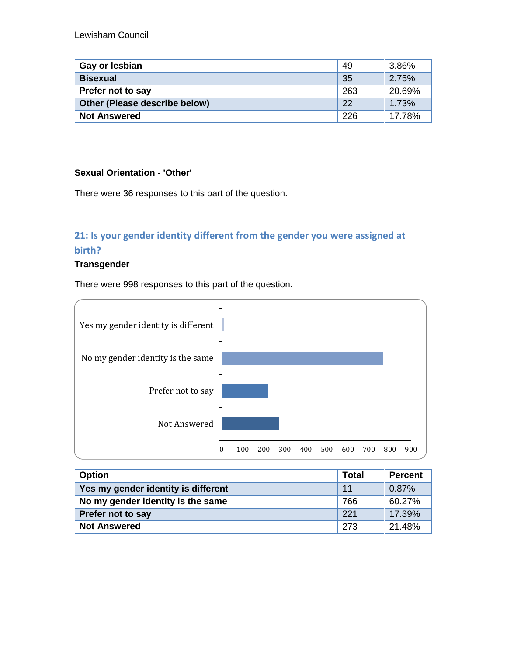| Gay or lesbian                | -49 | 3.86%  |
|-------------------------------|-----|--------|
| <b>Bisexual</b>               | -35 | 2.75%  |
| Prefer not to say             | 263 | 20.69% |
| Other (Please describe below) | 22  | 1.73%  |
| <b>Not Answered</b>           | 226 | 17.78% |

#### **Sexual Orientation - 'Other'**

There were 36 responses to this part of the question.

# **21: Is your gender identity different from the gender you were assigned at birth?**

#### **Transgender**

There were 998 responses to this part of the question.

![](_page_20_Figure_7.jpeg)

| <b>Option</b>                       | Total | <b>Percent</b> |
|-------------------------------------|-------|----------------|
| Yes my gender identity is different | 11    | 0.87%          |
| No my gender identity is the same   | 766   | 60.27%         |
| <b>Prefer not to say</b>            | 221   | 17.39%         |
| <b>Not Answered</b>                 | 273   | 21.48%         |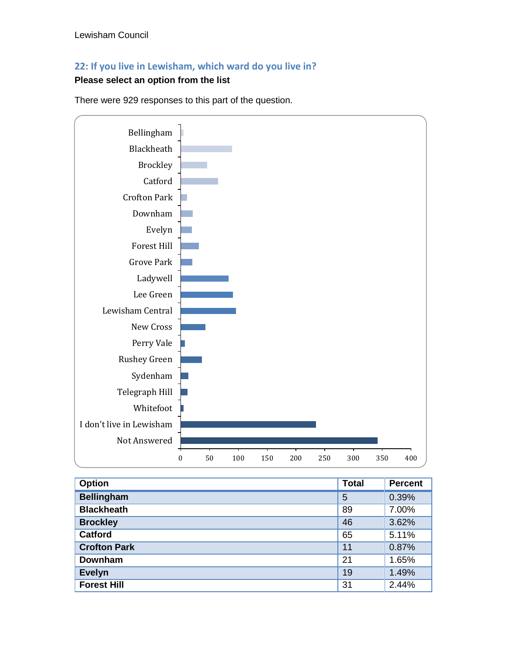# **22: If you live in Lewisham, which ward do you live in?**

# **Please select an option from the list**

![](_page_21_Figure_3.jpeg)

There were 929 responses to this part of the question.

| <b>Option</b>       | <b>Total</b> | <b>Percent</b> |
|---------------------|--------------|----------------|
| <b>Bellingham</b>   | 5            | 0.39%          |
| <b>Blackheath</b>   | 89           | 7.00%          |
| <b>Brockley</b>     | 46           | 3.62%          |
| <b>Catford</b>      | 65           | 5.11%          |
| <b>Crofton Park</b> | 11           | 0.87%          |
| <b>Downham</b>      | 21           | 1.65%          |
| <b>Evelyn</b>       | 19           | 1.49%          |
| <b>Forest Hill</b>  | 31           | 2.44%          |